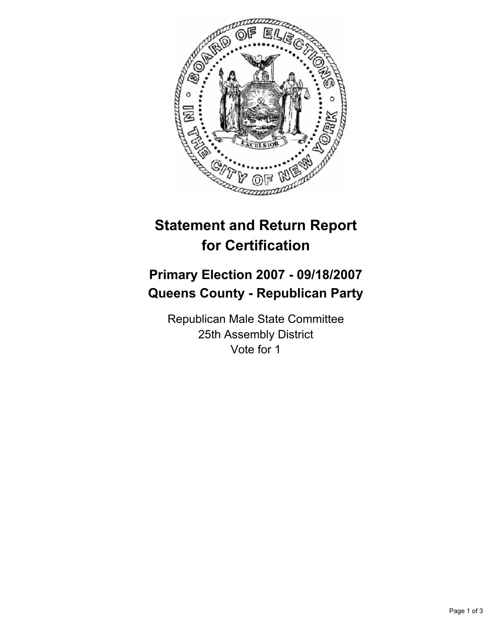

# **Statement and Return Report for Certification**

## **Primary Election 2007 - 09/18/2007 Queens County - Republican Party**

Republican Male State Committee 25th Assembly District Vote for 1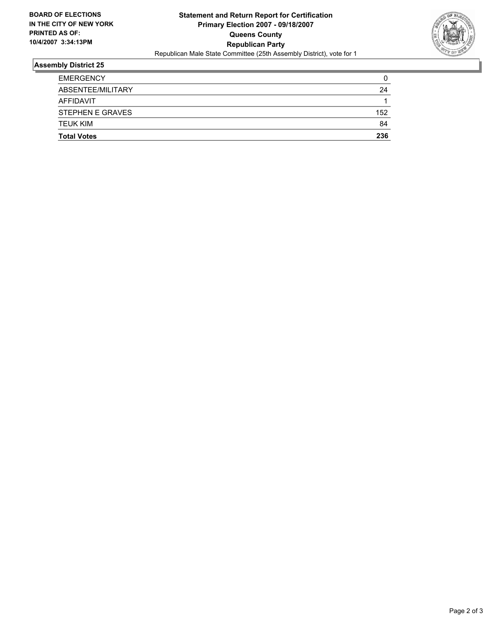

### **Assembly District 25**

| <b>Total Votes</b>      | 236 |
|-------------------------|-----|
| <b>TEUK KIM</b>         | 84  |
| <b>STEPHEN E GRAVES</b> | 152 |
| <b>AFFIDAVIT</b>        |     |
| ABSENTEE/MILITARY       | 24  |
| <b>EMERGENCY</b>        | 0   |